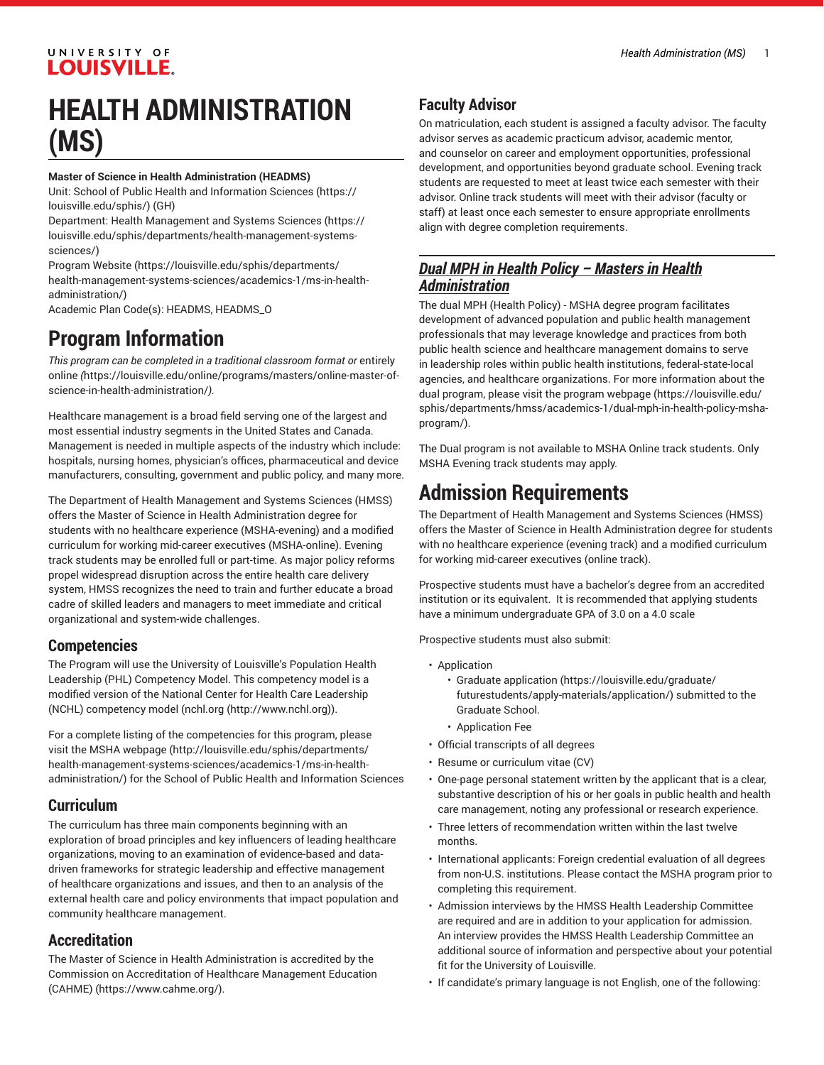# **HEALTH ADMINISTRATION (MS)**

#### **Master of Science in Health Administration (HEADMS)**

Unit: [School of Public Health and Information Sciences](https://louisville.edu/sphis/) ([https://](https://louisville.edu/sphis/) [louisville.edu/sphis/](https://louisville.edu/sphis/)) (GH)

Department: [Health Management and Systems Sciences](https://louisville.edu/sphis/departments/health-management-systems-sciences/) ([https://](https://louisville.edu/sphis/departments/health-management-systems-sciences/) [louisville.edu/sphis/departments/health-management-systems](https://louisville.edu/sphis/departments/health-management-systems-sciences/)[sciences/](https://louisville.edu/sphis/departments/health-management-systems-sciences/))

[Program](https://louisville.edu/sphis/departments/health-management-systems-sciences/academics-1/ms-in-health-administration/) Website [\(https://louisville.edu/sphis/departments/](https://louisville.edu/sphis/departments/health-management-systems-sciences/academics-1/ms-in-health-administration/) [health-management-systems-sciences/academics-1/ms-in-health](https://louisville.edu/sphis/departments/health-management-systems-sciences/academics-1/ms-in-health-administration/)[administration/\)](https://louisville.edu/sphis/departments/health-management-systems-sciences/academics-1/ms-in-health-administration/)

Academic Plan Code(s): HEADMS, HEADMS\_O

## **Program Information**

*This program can be completed in a traditional classroom format or* [entirely](https://louisville.edu/online/programs/masters/online-master-of-science-in-health-administration/) [online](https://louisville.edu/online/programs/masters/online-master-of-science-in-health-administration/) *(*[https://louisville.edu/online/programs/masters/online-master-of](https://louisville.edu/online/programs/masters/online-master-of-science-in-health-administration/)[science-in-health-administration/](https://louisville.edu/online/programs/masters/online-master-of-science-in-health-administration/)*).*

Healthcare management is a broad field serving one of the largest and most essential industry segments in the United States and Canada. Management is needed in multiple aspects of the industry which include: hospitals, nursing homes, physician's offices, pharmaceutical and device manufacturers, consulting, government and public policy, and many more.

The Department of Health Management and Systems Sciences (HMSS) offers the Master of Science in Health Administration degree for students with no healthcare experience (MSHA-evening) and a modified curriculum for working mid-career executives (MSHA-online). Evening track students may be enrolled full or part-time. As major policy reforms propel widespread disruption across the entire health care delivery system, HMSS recognizes the need to train and further educate a broad cadre of skilled leaders and managers to meet immediate and critical organizational and system-wide challenges.

#### **Competencies**

The Program will use the University of Louisville's Population Health Leadership (PHL) Competency Model. This competency model is a modified version of the National Center for Health Care Leadership (NCHL) competency model [\(nchl.org \(http://www.nchl.org\)](http://www.nchl.org)).

For a complete listing of the competencies for this program, please visit the MSHA [webpage](http://louisville.edu/sphis/departments/health-management-systems-sciences/academics-1/ms-in-health-administration/) ([http://louisville.edu/sphis/departments/](http://louisville.edu/sphis/departments/health-management-systems-sciences/academics-1/ms-in-health-administration/) [health-management-systems-sciences/academics-1/ms-in-health](http://louisville.edu/sphis/departments/health-management-systems-sciences/academics-1/ms-in-health-administration/)[administration/\)](http://louisville.edu/sphis/departments/health-management-systems-sciences/academics-1/ms-in-health-administration/) for the School of Public Health and Information Sciences

### **Curriculum**

The curriculum has three main components beginning with an exploration of broad principles and key influencers of leading healthcare organizations, moving to an examination of evidence-based and datadriven frameworks for strategic leadership and effective management of healthcare organizations and issues, and then to an analysis of the external health care and policy environments that impact population and community healthcare management.

#### **Accreditation**

The Master of Science in Health Administration is accredited by the Commission on [Accreditation](https://www.cahme.org/) of Healthcare Management Education [\(CAHME\)](https://www.cahme.org/) (<https://www.cahme.org/>).

### **Faculty Advisor**

On matriculation, each student is assigned a faculty advisor. The faculty advisor serves as academic practicum advisor, academic mentor, and counselor on career and employment opportunities, professional development, and opportunities beyond graduate school. Evening track students are requested to meet at least twice each semester with their advisor. Online track students will meet with their advisor (faculty or staff) at least once each semester to ensure appropriate enrollments align with degree completion requirements.

### *Dual MPH in Health Policy – Masters in Health Administration*

The dual MPH (Health Policy) - MSHA degree program facilitates development of advanced population and public health management professionals that may leverage knowledge and practices from both public health science and healthcare management domains to serve in leadership roles within public health institutions, federal-state-local agencies, and healthcare organizations. For more information about the dual program, please visit the program [webpage \(https://louisville.edu/](https://louisville.edu/sphis/departments/hmss/academics-1/dual-mph-in-health-policy-msha-program/) [sphis/departments/hmss/academics-1/dual-mph-in-health-policy-msha](https://louisville.edu/sphis/departments/hmss/academics-1/dual-mph-in-health-policy-msha-program/)[program/](https://louisville.edu/sphis/departments/hmss/academics-1/dual-mph-in-health-policy-msha-program/)).

The Dual program is not available to MSHA Online track students. Only MSHA Evening track students may apply.

## **Admission Requirements**

The Department of Health Management and Systems Sciences (HMSS) offers the Master of Science in Health Administration degree for students with no healthcare experience (evening track) and a modified curriculum for working mid-career executives (online track).

Prospective students must have a bachelor's degree from an accredited institution or its equivalent. It is recommended that applying students have a minimum undergraduate GPA of 3.0 on a 4.0 scale

Prospective students must also submit:

- Application
	- [Graduate application](https://louisville.edu/graduate/futurestudents/apply-materials/application/) [\(https://louisville.edu/graduate/](https://louisville.edu/graduate/futurestudents/apply-materials/application/) [futurestudents/apply-materials/application/\)](https://louisville.edu/graduate/futurestudents/apply-materials/application/) submitted to the Graduate School.
	- Application Fee
- Official transcripts of all degrees
- Resume or curriculum vitae (CV)
- One-page personal statement written by the applicant that is a clear, substantive description of his or her goals in public health and health care management, noting any professional or research experience.
- Three letters of recommendation written within the last twelve months.
- International applicants: Foreign credential evaluation of all degrees from non-U.S. institutions. Please contact the MSHA program prior to completing this requirement.
- Admission interviews by the HMSS Health Leadership Committee are required and are in addition to your application for admission. An interview provides the HMSS Health Leadership Committee an additional source of information and perspective about your potential fit for the University of Louisville.
- If candidate's primary language is not English, one of the following: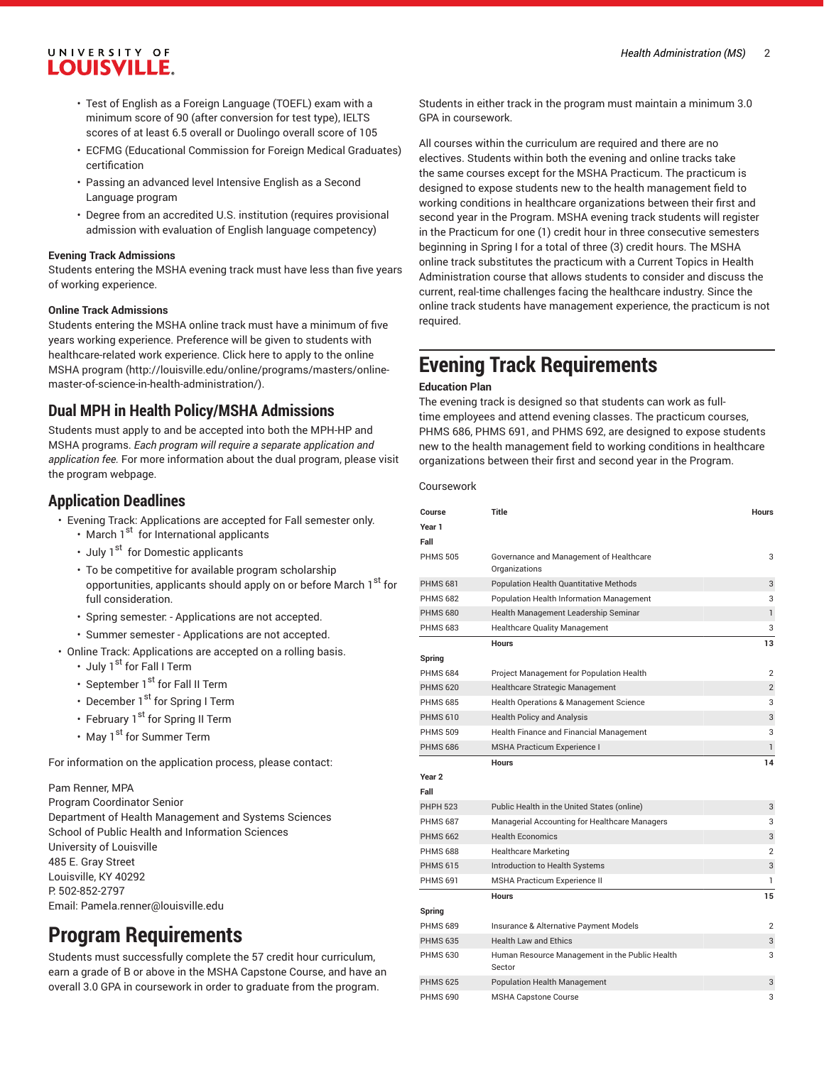- Test of English as a Foreign Language (TOEFL) exam with a minimum score of 90 (after conversion for test type), IELTS scores of at least 6.5 overall or Duolingo overall score of 105
- ECFMG (Educational Commission for Foreign Medical Graduates) certification
- Passing an advanced level Intensive English as a Second Language program
- Degree from an accredited U.S. institution (requires provisional admission with evaluation of English language competency)

#### **Evening Track Admissions**

Students entering the MSHA evening track must have less than five years of working experience.

#### **Online Track Admissions**

Students entering the MSHA online track must have a minimum of five years working experience. Preference will be given to students with healthcare-related work experience. Click here to apply to the [online](http://louisville.edu/online/programs/masters/online-master-of-science-in-health-administration/) MSHA [program](http://louisville.edu/online/programs/masters/online-master-of-science-in-health-administration/) ([http://louisville.edu/online/programs/masters/online](http://louisville.edu/online/programs/masters/online-master-of-science-in-health-administration/)[master-of-science-in-health-administration/\)](http://louisville.edu/online/programs/masters/online-master-of-science-in-health-administration/).

#### **Dual MPH in Health Policy/MSHA Admissions**

Students must apply to and be accepted into both the MPH-HP and MSHA programs. *Each program will require a separate application and application fee.* For more information about the dual program, please visit the program webpage.

#### **Application Deadlines**

- Evening Track: Applications are accepted for Fall semester only.
	- March 1<sup>st</sup> for International applicants
	- July 1<sup>st</sup> for Domestic applicants
	- To be competitive for available program scholarship opportunities, applicants should apply on or before March 1<sup>st</sup> for full consideration.
	- Spring semester: Applications are not accepted.
	- Summer semester Applications are not accepted.
- Online Track: Applications are accepted on a rolling basis.
	- July  $1^{st}$  for Fall I Term
	- September  $1<sup>st</sup>$  for Fall II Term
	- December  $1<sup>st</sup>$  for Spring I Term
	- February 1<sup>st</sup> for Spring II Term
	- May 1<sup>st</sup> for Summer Term

For information on the application process, please contact:

#### Pam Renner, MPA

Program Coordinator Senior Department of Health Management and Systems Sciences School of Public Health and Information Sciences University of Louisville 485 E. Gray Street Louisville, KY 40292 P: 502-852-2797 Email: [Pamela.renner@louisville.edu](mailto:Pamela.renner@louisville.edu)

## **Program Requirements**

Students must successfully complete the 57 credit hour curriculum, earn a grade of B or above in the MSHA Capstone Course, and have an overall 3.0 GPA in coursework in order to graduate from the program.

Students in either track in the program must maintain a minimum 3.0 GPA in coursework.

All courses within the curriculum are required and there are no electives. Students within both the evening and online tracks take the same courses except for the MSHA Practicum. The practicum is designed to expose students new to the health management field to working conditions in healthcare organizations between their first and second year in the Program. MSHA evening track students will register in the Practicum for one (1) credit hour in three consecutive semesters beginning in Spring I for a total of three (3) credit hours. The MSHA online track substitutes the practicum with a Current Topics in Health Administration course that allows students to consider and discuss the current, real-time challenges facing the healthcare industry. Since the online track students have management experience, the practicum is not required.

## **Evening Track Requirements**

#### **Education Plan**

The evening track is designed so that students can work as fulltime employees and attend evening classes. The practicum courses, PHMS 686, PHMS 691, and PHMS 692, are designed to expose students new to the health management field to working conditions in healthcare organizations between their first and second year in the Program.

Coursework

| Course            | <b>Title</b>                                             | <b>Hours</b>   |
|-------------------|----------------------------------------------------------|----------------|
| Year 1            |                                                          |                |
| Fall              |                                                          |                |
| <b>PHMS 505</b>   | Governance and Management of Healthcare<br>Organizations | 3              |
| <b>PHMS 681</b>   | <b>Population Health Quantitative Methods</b>            | 3              |
| <b>PHMS 682</b>   | Population Health Information Management                 | 3              |
| <b>PHMS 680</b>   | Health Management Leadership Seminar                     | $\mathbf{1}$   |
| <b>PHMS 683</b>   | <b>Healthcare Quality Management</b>                     | 3              |
|                   | <b>Hours</b>                                             | 13             |
| Spring            |                                                          |                |
| <b>PHMS 684</b>   | Project Management for Population Health                 | $\overline{2}$ |
| <b>PHMS 620</b>   | Healthcare Strategic Management                          | $\overline{2}$ |
| <b>PHMS 685</b>   | Health Operations & Management Science                   | 3              |
| <b>PHMS 610</b>   | <b>Health Policy and Analysis</b>                        | 3              |
| <b>PHMS 509</b>   | Health Finance and Financial Management                  | 3              |
| <b>PHMS 686</b>   | MSHA Practicum Experience I                              | $\mathbf{1}$   |
|                   | <b>Hours</b>                                             | 14             |
| Year <sub>2</sub> |                                                          |                |
| Fall              |                                                          |                |
| <b>PHPH 523</b>   | Public Health in the United States (online)              | 3              |
| <b>PHMS 687</b>   | Managerial Accounting for Healthcare Managers            | 3              |
| <b>PHMS 662</b>   | <b>Health Economics</b>                                  | 3              |
| <b>PHMS 688</b>   | <b>Healthcare Marketing</b>                              | $\overline{2}$ |
| <b>PHMS 615</b>   | Introduction to Health Systems                           | 3              |
| <b>PHMS 691</b>   | <b>MSHA Practicum Experience II</b>                      | 1              |
|                   | <b>Hours</b>                                             | 15             |
| Spring            |                                                          |                |
| <b>PHMS 689</b>   | Insurance & Alternative Payment Models                   | $\overline{2}$ |
| <b>PHMS 635</b>   | <b>Health Law and Ethics</b>                             | 3              |
| <b>PHMS 630</b>   | Human Resource Management in the Public Health<br>Sector | 3              |
| <b>PHMS 625</b>   | <b>Population Health Management</b>                      | 3              |
| <b>PHMS 690</b>   | <b>MSHA Capstone Course</b>                              | 3              |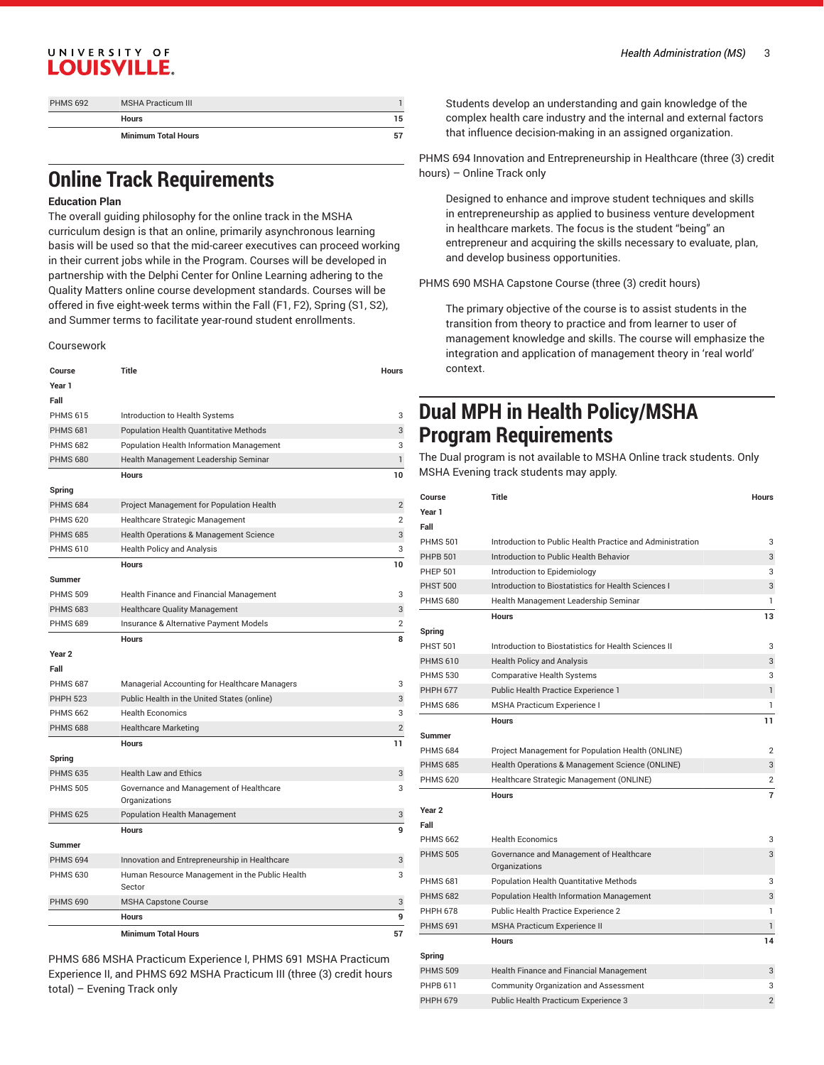| <b>PHMS 692</b> | <b>MSHA Practicum III</b>  |    |
|-----------------|----------------------------|----|
|                 | <b>Hours</b>               | 15 |
|                 | <b>Minimum Total Hours</b> | 57 |

## **Online Track Requirements**

#### **Education Plan**

The overall guiding philosophy for the online track in the MSHA curriculum design is that an online, primarily asynchronous learning basis will be used so that the mid-career executives can proceed working in their current jobs while in the Program. Courses will be developed in partnership with the Delphi Center for Online Learning adhering to the Quality Matters online course development standards. Courses will be offered in five eight-week terms within the Fall (F1, F2), Spring (S1, S2), and Summer terms to facilitate year-round student enrollments.

Coursework

| Course            | Title                                                    | <b>Hours</b>   |
|-------------------|----------------------------------------------------------|----------------|
| Year 1            |                                                          |                |
| Fall              |                                                          |                |
| <b>PHMS 615</b>   | Introduction to Health Systems                           | 3              |
| <b>PHMS 681</b>   | Population Health Quantitative Methods                   | 3              |
| <b>PHMS 682</b>   | Population Health Information Management                 | 3              |
| <b>PHMS 680</b>   | Health Management Leadership Seminar                     | 1              |
|                   | <b>Hours</b>                                             | 10             |
| Spring            |                                                          |                |
| <b>PHMS 684</b>   | Project Management for Population Health                 | $\overline{2}$ |
| <b>PHMS 620</b>   | Healthcare Strategic Management                          | $\overline{2}$ |
| <b>PHMS 685</b>   | Health Operations & Management Science                   | 3              |
| <b>PHMS 610</b>   | <b>Health Policy and Analysis</b>                        | 3              |
|                   | <b>Hours</b>                                             | 10             |
| <b>Summer</b>     |                                                          |                |
| <b>PHMS 509</b>   | Health Finance and Financial Management                  | 3              |
| <b>PHMS 683</b>   | Healthcare Quality Management                            | 3              |
| <b>PHMS 689</b>   | Insurance & Alternative Payment Models                   | 2              |
|                   | <b>Hours</b>                                             | 8              |
| Year <sub>2</sub> |                                                          |                |
| Fall              |                                                          |                |
| <b>PHMS 687</b>   | Managerial Accounting for Healthcare Managers            | 3              |
| <b>PHPH 523</b>   | Public Health in the United States (online)              | 3              |
| <b>PHMS 662</b>   | <b>Health Economics</b>                                  | 3              |
| <b>PHMS 688</b>   | <b>Healthcare Marketing</b>                              | $\mathbf{2}$   |
|                   | <b>Hours</b>                                             | 11             |
| Spring            |                                                          |                |
| <b>PHMS 635</b>   | <b>Health Law and Ethics</b>                             | 3              |
| <b>PHMS 505</b>   | Governance and Management of Healthcare                  | 3              |
|                   | Organizations                                            |                |
| <b>PHMS 625</b>   | Population Health Management                             | 3              |
|                   | <b>Hours</b>                                             | 9              |
| <b>Summer</b>     |                                                          |                |
| <b>PHMS 694</b>   | Innovation and Entrepreneurship in Healthcare            | 3              |
| <b>PHMS 630</b>   | Human Resource Management in the Public Health<br>Sector | 3              |
| <b>PHMS 690</b>   | <b>MSHA Capstone Course</b>                              | 3              |
|                   | <b>Hours</b>                                             | 9              |
|                   | <b>Minimum Total Hours</b>                               | 57             |

PHMS 686 MSHA Practicum Experience I, PHMS 691 MSHA Practicum Experience II, and PHMS 692 MSHA Practicum III (three (3) credit hours total) – Evening Track only

Students develop an understanding and gain knowledge of the complex health care industry and the internal and external factors that influence decision-making in an assigned organization.

PHMS 694 Innovation and Entrepreneurship in Healthcare (three (3) credit hours) – Online Track only

Designed to enhance and improve student techniques and skills in entrepreneurship as applied to business venture development in healthcare markets. The focus is the student "being" an entrepreneur and acquiring the skills necessary to evaluate, plan, and develop business opportunities.

PHMS 690 MSHA Capstone Course (three (3) credit hours)

The primary objective of the course is to assist students in the transition from theory to practice and from learner to user of management knowledge and skills. The course will emphasize the integration and application of management theory in 'real world' context.

## **Dual MPH in Health Policy/MSHA Program Requirements**

The Dual program is not available to MSHA Online track students. Only MSHA Evening track students may apply.

| Course            | Title                                                     | <b>Hours</b>   |
|-------------------|-----------------------------------------------------------|----------------|
| Year 1            |                                                           |                |
| Fall              |                                                           |                |
| <b>PHMS 501</b>   | Introduction to Public Health Practice and Administration | 3              |
| <b>PHPB 501</b>   | Introduction to Public Health Behavior                    | 3              |
| <b>PHEP 501</b>   | Introduction to Epidemiology                              | 3              |
| <b>PHST 500</b>   | Introduction to Biostatistics for Health Sciences I       | 3              |
| <b>PHMS 680</b>   | Health Management Leadership Seminar                      | 1              |
|                   | <b>Hours</b>                                              | 13             |
| Spring            |                                                           |                |
| <b>PHST 501</b>   | Introduction to Biostatistics for Health Sciences II      | 3              |
| <b>PHMS 610</b>   | <b>Health Policy and Analysis</b>                         | 3              |
| <b>PHMS 530</b>   | <b>Comparative Health Systems</b>                         | 3              |
| <b>PHPH 677</b>   | Public Health Practice Experience 1                       | $\mathbf{1}$   |
| <b>PHMS 686</b>   | MSHA Practicum Experience I                               | 1              |
|                   | <b>Hours</b>                                              | 11             |
| Summer            |                                                           |                |
| <b>PHMS 684</b>   | Project Management for Population Health (ONLINE)         | 2              |
| <b>PHMS 685</b>   | Health Operations & Management Science (ONLINE)           | 3              |
| <b>PHMS 620</b>   | Healthcare Strategic Management (ONLINE)                  | 2              |
|                   | <b>Hours</b>                                              | $\overline{7}$ |
| Year <sub>2</sub> |                                                           |                |
| Fall              |                                                           |                |
| <b>PHMS 662</b>   | <b>Health Economics</b>                                   | 3              |
| <b>PHMS 505</b>   | Governance and Management of Healthcare<br>Organizations  | 3              |
| <b>PHMS 681</b>   | Population Health Quantitative Methods                    | 3              |
| <b>PHMS 682</b>   | <b>Population Health Information Management</b>           | 3              |
| <b>PHPH 678</b>   | Public Health Practice Experience 2                       | $\mathbf{1}$   |
| <b>PHMS 691</b>   | <b>MSHA Practicum Experience II</b>                       | $\mathbf{1}$   |
|                   | <b>Hours</b>                                              | 14             |
| Spring            |                                                           |                |
| <b>PHMS 509</b>   | Health Finance and Financial Management                   | 3              |
| PHPB 611          | <b>Community Organization and Assessment</b>              | 3              |
| <b>PHPH 679</b>   | Public Health Practicum Experience 3                      | $\overline{2}$ |